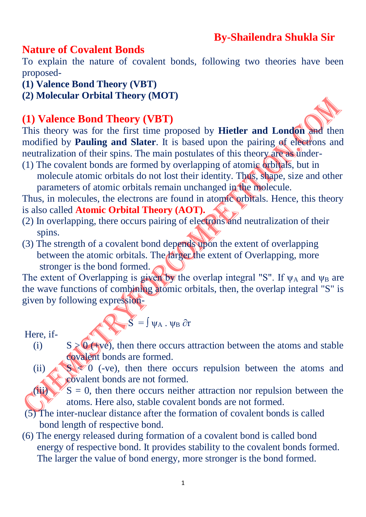## **By-Shailendra Shukla Sir**

#### **Nature of Covalent Bonds**

To explain the nature of covalent bonds, following two theories have been proposed-

- **(1) Valence Bond Theory (VBT)**
- **(2) Molecular Orbital Theory (MOT)**

#### **(1) Valence Bond Theory (VBT)**

This theory was for the first time proposed by **Hietler and London** and then modified by **Pauling and Slater**. It is based upon the pairing of electrons and neutralization of their spins. The main postulates of this theory are as under-

(1) The covalent bonds are formed by overlapping of atomic orbitals, but in molecule atomic orbitals do not lost their identity. Thus, shape, size and other parameters of atomic orbitals remain unchanged in the molecule.

Thus, in molecules, the electrons are found in atomic orbitals. Hence, this theory is also called **Atomic Orbital Theory (AOT).** 

- (2) In overlapping, there occurs pairing of electrons and neutralization of their spins.
- (3) The strength of a covalent bond depends upon the extent of overlapping between the atomic orbitals. The larger the extent of Overlapping, more stronger is the bond formed.

The extent of Overlapping is given by the overlap integral "S". If  $\psi_A$  and  $\psi_B$  are the wave functions of combining atomic orbitals, then, the overlap integral "S" is given by following expression-

Here if 
$$
S = \int \psi_A \cdot \psi_B \partial r
$$

Here, if-

- (i)  $S \ge 0$  ( $\exists y \in \mathcal{O}(\exists y \in \mathcal{O})$ , then there occurs attraction between the atoms and stable covalent bonds are formed.
- (ii)  $\leq 0$  (-ve), then there occurs repulsion between the atoms and covalent bonds are not formed.

 $(iii)$   $S = 0$ , then there occurs neither attraction nor repulsion between the atoms. Here also, stable covalent bonds are not formed.

- (5) The inter-nuclear distance after the formation of covalent bonds is called bond length of respective bond.
- (6) The energy released during formation of a covalent bond is called bond energy of respective bond. It provides stability to the covalent bonds formed. The larger the value of bond energy, more stronger is the bond formed.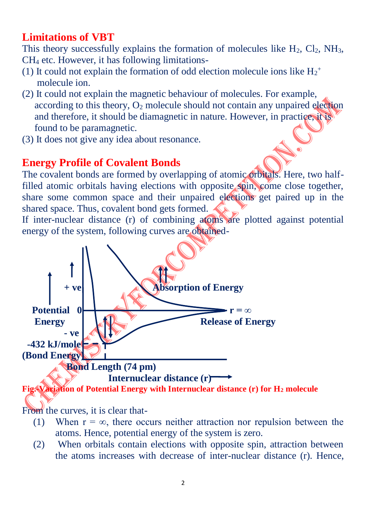## **Limitations of VBT**

This theory successfully explains the formation of molecules like  $H_2$ ,  $Cl_2$ ,  $NH_3$ , CH<sup>4</sup> etc. However, it has following limitations-

- (1) It could not explain the formation of odd election molecule ions like  $H_2^+$ molecule ion.
- (2) It could not explain the magnetic behaviour of molecules. For example, according to this theory,  $O_2$  molecule should not contain any unpaired election and therefore, it should be diamagnetic in nature. However, in practice, it is found to be paramagnetic.
- (3) It does not give any idea about resonance.

### **Energy Profile of Covalent Bonds**

The covalent bonds are formed by overlapping of atomic orbitals. Here, two halffilled atomic orbitals having elections with opposite spin, come close together, share some common space and their unpaired elections get paired up in the shared space. Thus, covalent bond gets formed.

If inter-nuclear distance (r) of combining atoms are plotted against potential energy of the system, following curves are obtained-



From the curves, it is clear that-

- (1) When  $r = \infty$ , there occurs neither attraction nor repulsion between the atoms. Hence, potential energy of the system is zero.
- (2) When orbitals contain elections with opposite spin, attraction between the atoms increases with decrease of inter-nuclear distance (r). Hence,